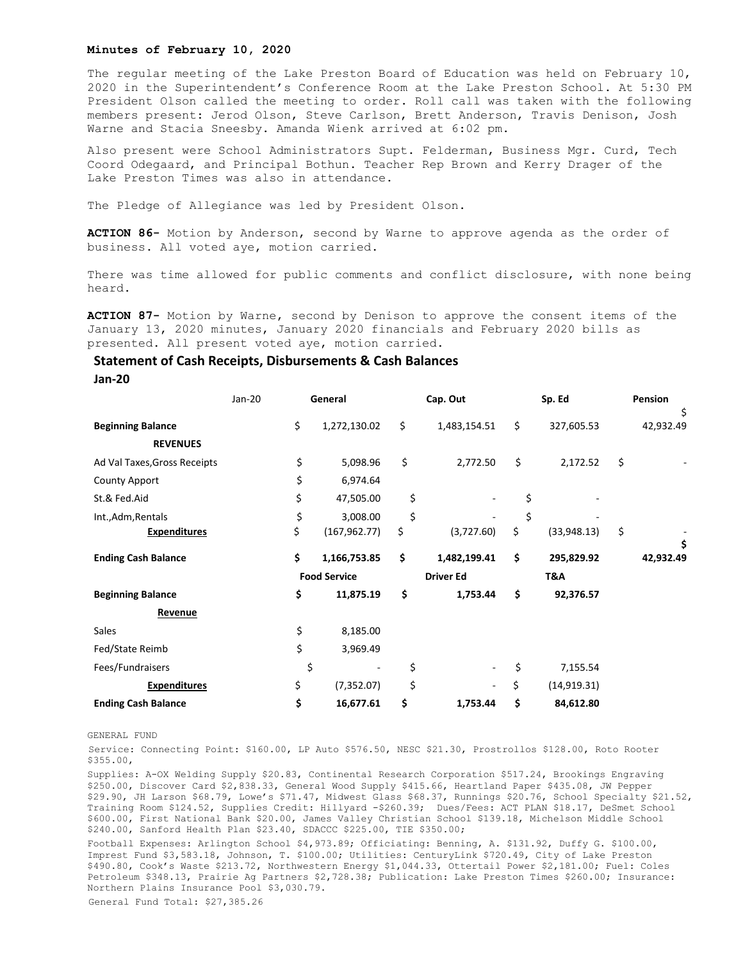## **Minutes of February 10, 2020**

The regular meeting of the Lake Preston Board of Education was held on February 10, 2020 in the Superintendent's Conference Room at the Lake Preston School. At 5:30 PM President Olson called the meeting to order. Roll call was taken with the following members present: Jerod Olson, Steve Carlson, Brett Anderson, Travis Denison, Josh Warne and Stacia Sneesby. Amanda Wienk arrived at 6:02 pm.

Also present were School Administrators Supt. Felderman, Business Mgr. Curd, Tech Coord Odegaard, and Principal Bothun. Teacher Rep Brown and Kerry Drager of the Lake Preston Times was also in attendance.

The Pledge of Allegiance was led by President Olson.

**ACTION 86-** Motion by Anderson, second by Warne to approve agenda as the order of business. All voted aye, motion carried.

There was time allowed for public comments and conflict disclosure, with none being heard.

**ACTION 87-** Motion by Warne, second by Denison to approve the consent items of the January 13, 2020 minutes, January 2020 financials and February 2020 bills as presented. All present voted aye, motion carried.

## **Statement of Cash Receipts, Disbursements & Cash Balances**

**Jan-20**

|                              | Jan-20 | General             |               | Cap. Out         |                          | Sp. Ed |              | Pension |                 |
|------------------------------|--------|---------------------|---------------|------------------|--------------------------|--------|--------------|---------|-----------------|
| <b>Beginning Balance</b>     | \$     |                     | 1,272,130.02  | \$               | 1,483,154.51             | \$     | 327,605.53   |         | \$<br>42,932.49 |
| <b>REVENUES</b>              |        |                     |               |                  |                          |        |              |         |                 |
| Ad Val Taxes, Gross Receipts |        | \$                  | 5,098.96      | \$               | 2,772.50                 | \$     | 2,172.52     | \$      |                 |
| <b>County Apport</b>         |        | \$                  | 6,974.64      |                  |                          |        |              |         |                 |
| St.& Fed.Aid                 | \$     |                     | 47,505.00     | \$               |                          | \$     |              |         |                 |
| Int., Adm, Rentals           | \$     |                     | 3,008.00      | \$               |                          | \$     |              |         |                 |
| <b>Expenditures</b>          | \$     |                     | (167, 962.77) | \$               | (3,727.60)               | \$     | (33,948.13)  | \$      |                 |
| <b>Ending Cash Balance</b>   | \$     |                     | 1,166,753.85  | \$               | 1,482,199.41             | \$     | 295,829.92   |         | \$<br>42,932.49 |
|                              |        | <b>Food Service</b> |               | <b>Driver Ed</b> |                          | T&A    |              |         |                 |
| <b>Beginning Balance</b>     | \$     |                     | 11,875.19     | \$               | 1,753.44                 | \$     | 92,376.57    |         |                 |
| Revenue                      |        |                     |               |                  |                          |        |              |         |                 |
| Sales                        |        | \$                  | 8,185.00      |                  |                          |        |              |         |                 |
| Fed/State Reimb              |        | \$                  | 3,969.49      |                  |                          |        |              |         |                 |
| Fees/Fundraisers             |        | \$                  |               | \$               |                          | \$     | 7,155.54     |         |                 |
| <b>Expenditures</b>          | \$     |                     | (7, 352.07)   | \$               | $\overline{\phantom{a}}$ | \$     | (14, 919.31) |         |                 |
| <b>Ending Cash Balance</b>   | \$     |                     | 16,677.61     | \$               | 1,753.44                 | \$     | 84,612.80    |         |                 |

GENERAL FUND

Service: Connecting Point: \$160.00, LP Auto \$576.50, NESC \$21.30, Prostrollos \$128.00, Roto Rooter \$355.00,

Supplies: A-OX Welding Supply \$20.83, Continental Research Corporation \$517.24, Brookings Engraving \$250.00, Discover Card \$2,838.33, General Wood Supply \$415.66, Heartland Paper \$435.08, JW Pepper \$29.90, JH Larson \$68.79, Lowe's \$71.47, Midwest Glass \$68.37, Runnings \$20.76, School Specialty \$21.52, Training Room \$124.52, Supplies Credit: Hillyard -\$260.39; Dues/Fees: ACT PLAN \$18.17, DeSmet School \$600.00, First National Bank \$20.00, James Valley Christian School \$139.18, Michelson Middle School \$240.00, Sanford Health Plan \$23.40, SDACCC \$225.00, TIE \$350.00;

Football Expenses: Arlington School \$4,973.89; Officiating: Benning, A. \$131.92, Duffy G. \$100.00, Imprest Fund \$3,583.18, Johnson, T. \$100.00; Utilities: CenturyLink \$720.49, City of Lake Preston \$490.80, Cook's Waste \$213.72, Northwestern Energy \$1,044.33, Ottertail Power \$2,181.00; Fuel: Coles Petroleum \$348.13, Prairie Ag Partners \$2,728.38; Publication: Lake Preston Times \$260.00; Insurance: Northern Plains Insurance Pool \$3,030.79.

General Fund Total: \$27,385.26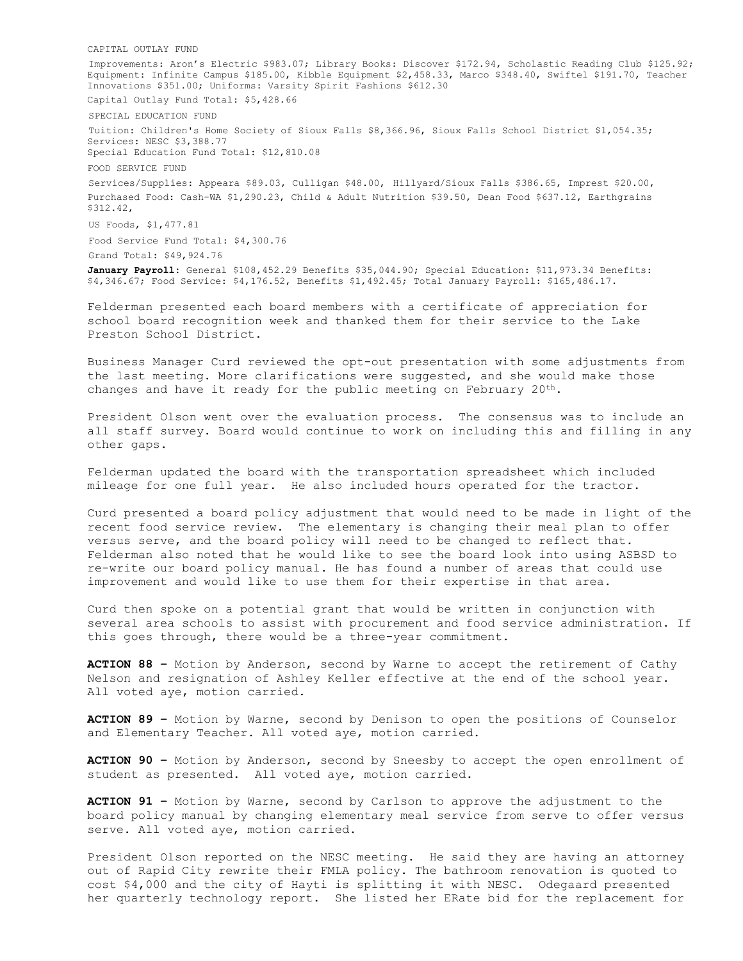CAPITAL OUTLAY FUND Improvements: Aron's Electric \$983.07; Library Books: Discover \$172.94, Scholastic Reading Club \$125.92; Equipment: Infinite Campus \$185.00, Kibble Equipment \$2,458.33, Marco \$348.40, Swiftel \$191.70, Teacher Innovations \$351.00; Uniforms: Varsity Spirit Fashions \$612.30 Capital Outlay Fund Total: \$5,428.66

SPECIAL EDUCATION FUND

Tuition: Children's Home Society of Sioux Falls \$8,366.96, Sioux Falls School District \$1,054.35; Services: NESC \$3,388.77 Special Education Fund Total: \$12,810.08

FOOD SERVICE FUND

Services/Supplies: Appeara \$89.03, Culligan \$48.00, Hillyard/Sioux Falls \$386.65, Imprest \$20.00, Purchased Food: Cash-WA \$1,290.23, Child & Adult Nutrition \$39.50, Dean Food \$637.12, Earthgrains \$312.42,

US Foods, \$1,477.81

Food Service Fund Total: \$4,300.76 Grand Total: \$49,924.76

**January Payroll:** General \$108,452.29 Benefits \$35,044.90; Special Education: \$11,973.34 Benefits: \$4,346.67; Food Service: \$4,176.52, Benefits \$1,492.45; Total January Payroll: \$165,486.17.

Felderman presented each board members with a certificate of appreciation for school board recognition week and thanked them for their service to the Lake Preston School District.

Business Manager Curd reviewed the opt-out presentation with some adjustments from the last meeting. More clarifications were suggested, and she would make those changes and have it ready for the public meeting on February  $20^{th}$ .

President Olson went over the evaluation process. The consensus was to include an all staff survey. Board would continue to work on including this and filling in any other gaps.

Felderman updated the board with the transportation spreadsheet which included mileage for one full year. He also included hours operated for the tractor.

Curd presented a board policy adjustment that would need to be made in light of the recent food service review. The elementary is changing their meal plan to offer versus serve, and the board policy will need to be changed to reflect that. Felderman also noted that he would like to see the board look into using ASBSD to re-write our board policy manual. He has found a number of areas that could use improvement and would like to use them for their expertise in that area.

Curd then spoke on a potential grant that would be written in conjunction with several area schools to assist with procurement and food service administration. If this goes through, there would be a three-year commitment.

**ACTION 88 –** Motion by Anderson, second by Warne to accept the retirement of Cathy Nelson and resignation of Ashley Keller effective at the end of the school year. All voted aye, motion carried.

**ACTION 89 –** Motion by Warne, second by Denison to open the positions of Counselor and Elementary Teacher. All voted aye, motion carried.

**ACTION 90 –** Motion by Anderson, second by Sneesby to accept the open enrollment of student as presented. All voted aye, motion carried.

**ACTION 91 –** Motion by Warne, second by Carlson to approve the adjustment to the board policy manual by changing elementary meal service from serve to offer versus serve. All voted aye, motion carried.

President Olson reported on the NESC meeting. He said they are having an attorney out of Rapid City rewrite their FMLA policy. The bathroom renovation is quoted to cost \$4,000 and the city of Hayti is splitting it with NESC. Odegaard presented her quarterly technology report. She listed her ERate bid for the replacement for